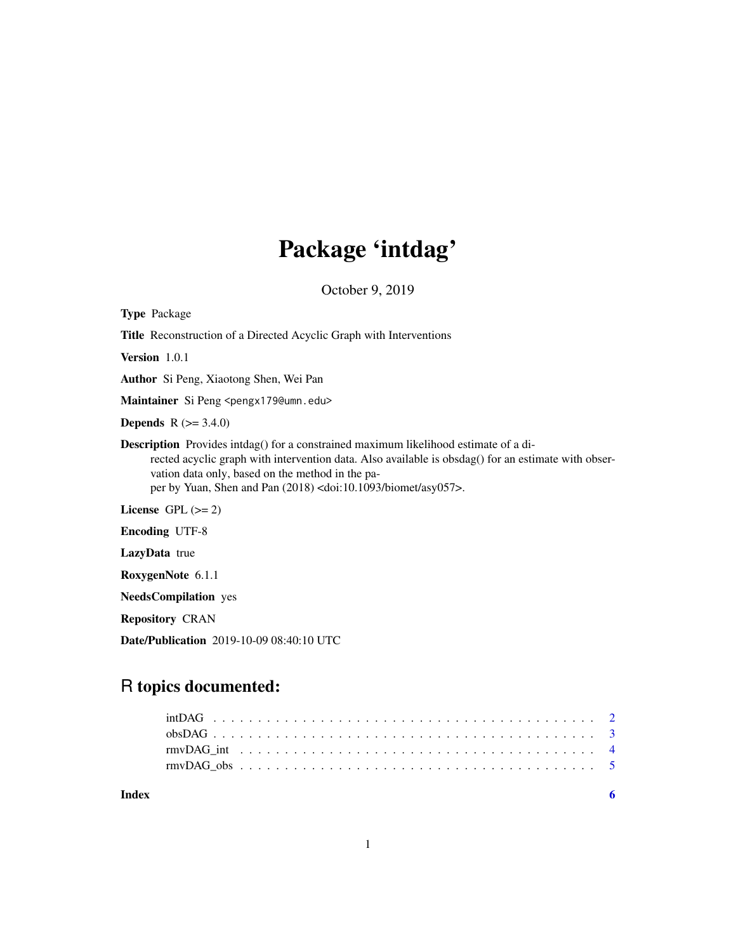## Package 'intdag'

October 9, 2019

| <b>Type</b> Package                                                                                                                                                                                                                                                                                                                           |
|-----------------------------------------------------------------------------------------------------------------------------------------------------------------------------------------------------------------------------------------------------------------------------------------------------------------------------------------------|
| <b>Title</b> Reconstruction of a Directed Acyclic Graph with Interventions                                                                                                                                                                                                                                                                    |
| <b>Version</b> $1.0.1$                                                                                                                                                                                                                                                                                                                        |
| <b>Author</b> Si Peng, Xiaotong Shen, Wei Pan                                                                                                                                                                                                                                                                                                 |
| Maintainer Si Peng <pengx179@umn.edu></pengx179@umn.edu>                                                                                                                                                                                                                                                                                      |
| <b>Depends</b> $R (= 3.4.0)$                                                                                                                                                                                                                                                                                                                  |
| <b>Description</b> Provides intdag() for a constrained maximum likelihood estimate of a di-<br>rected acyclic graph with intervention data. Also available is obsdag() for an estimate with obser-<br>vation data only, based on the method in the pa-<br>per by Yuan, Shen and Pan $(2018)$ <doi:10.1093 asy057="" biomet="">.</doi:10.1093> |
| License $GPL (= 2)$                                                                                                                                                                                                                                                                                                                           |
| <b>Encoding UTF-8</b>                                                                                                                                                                                                                                                                                                                         |
| <b>LazyData</b> true                                                                                                                                                                                                                                                                                                                          |
| RoxygenNote 6.1.1                                                                                                                                                                                                                                                                                                                             |

NeedsCompilation yes

Repository CRAN

Date/Publication 2019-10-09 08:40:10 UTC

## R topics documented:

1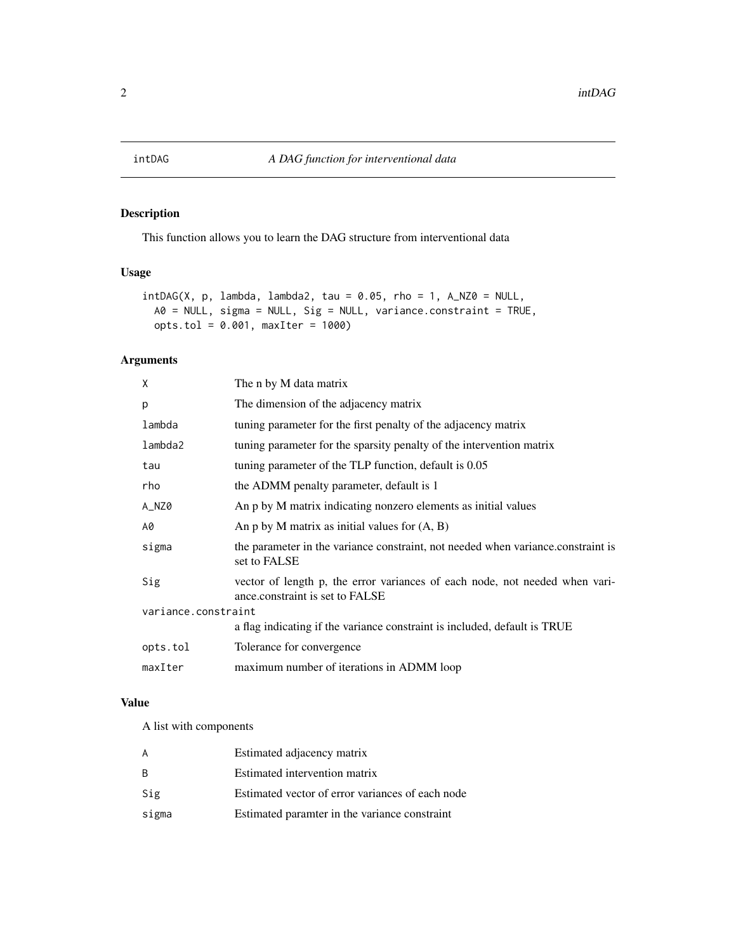<span id="page-1-0"></span>

## Description

This function allows you to learn the DAG structure from interventional data

## Usage

```
intDAG(X, p, lambda, lambda2, tau = 0.05, rho = 1, A_NZ0 = NULL,A0 = NULL, sigma = NULL, Sig = NULL, variance.constraint = TRUE,
 opts.tol = 0.001, maxIter = 1000)
```
## Arguments

| X                   | The n by M data matrix                                                                                         |  |  |
|---------------------|----------------------------------------------------------------------------------------------------------------|--|--|
| p                   | The dimension of the adjacency matrix                                                                          |  |  |
| lambda              | tuning parameter for the first penalty of the adjacency matrix                                                 |  |  |
| lambda2             | tuning parameter for the sparsity penalty of the intervention matrix                                           |  |  |
| tau                 | tuning parameter of the TLP function, default is 0.05                                                          |  |  |
| rho                 | the ADMM penalty parameter, default is 1                                                                       |  |  |
| A_NZ0               | An p by M matrix indicating nonzero elements as initial values                                                 |  |  |
| A0                  | An p by M matrix as initial values for $(A, B)$                                                                |  |  |
| sigma               | the parameter in the variance constraint, not needed when variance.constraint is<br>set to FALSE               |  |  |
| Sig                 | vector of length p, the error variances of each node, not needed when vari-<br>ance.constraint is set to FALSE |  |  |
| variance.constraint |                                                                                                                |  |  |
|                     | a flag indicating if the variance constraint is included, default is TRUE                                      |  |  |
| opts.tol            | Tolerance for convergence                                                                                      |  |  |
| maxIter             | maximum number of iterations in ADMM loop                                                                      |  |  |
|                     |                                                                                                                |  |  |

## Value

A list with components

| A     | Estimated adjacency matrix                       |
|-------|--------------------------------------------------|
| B     | Estimated intervention matrix                    |
| Sig   | Estimated vector of error variances of each node |
| sigma | Estimated paramter in the variance constraint    |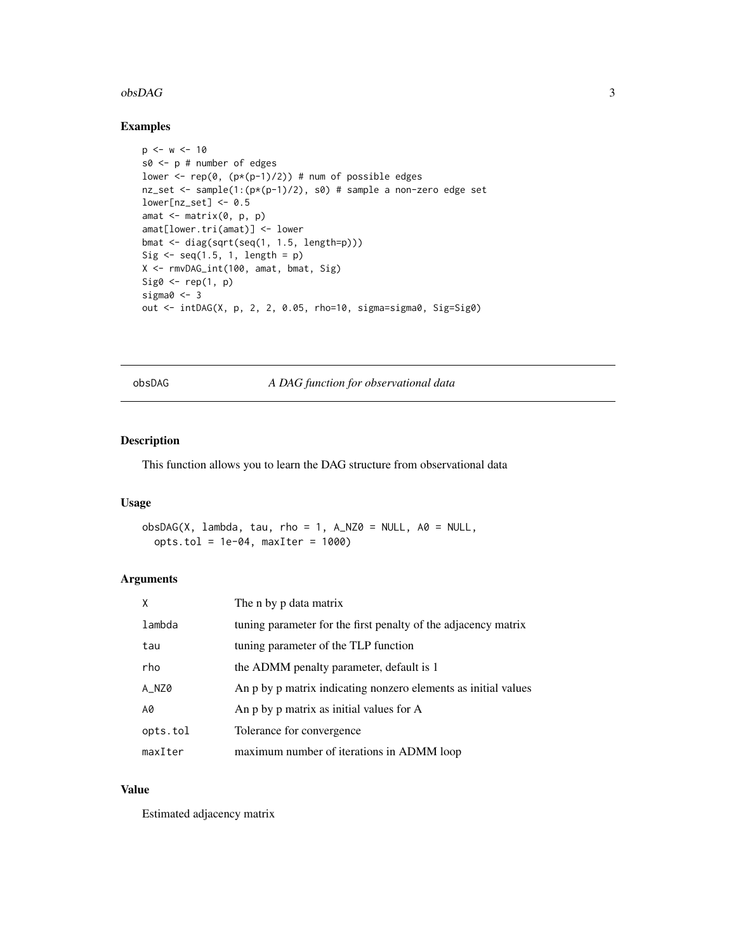#### <span id="page-2-0"></span> $\alpha$ bsDAG  $\alpha$  3

## Examples

```
p \le -w \le -10s0 <- p # number of edges
lower <- rep(\emptyset, (p*(p-1)/2)) # num of possible edges
nz_set <- sample(1:(p*(p-1)/2), s0) # sample a non-zero edge set
lower[nz_set] < -0.5amat \leq matrix(0, p, p)
amat[lower.tri(amat)] <- lower
bmat <- diag(sqrt(seq(1, 1.5, length=p)))
Sig \leq seq(1.5, 1, length = p)
X <- rmvDAG_int(100, amat, bmat, Sig)
Sig0 \leftarrow rep(1, p)sigma0 < -3out <- intDAG(X, p, 2, 2, 0.05, rho=10, sigma=sigma0, Sig=Sig0)
```
obsDAG *A DAG function for observational data*

#### Description

This function allows you to learn the DAG structure from observational data

## Usage

```
obsDAG(X, lambda, tau, rho = 1, A_NZ0 = NULL, AO = NULL,opts.tol = 1e-04, maxIter = 1000)
```
### Arguments

| X        | The n by p data matrix                                         |
|----------|----------------------------------------------------------------|
| lambda   | tuning parameter for the first penalty of the adjacency matrix |
| tau      | tuning parameter of the TLP function                           |
| rho      | the ADMM penalty parameter, default is 1                       |
| A_NZ0    | An p by p matrix indicating nonzero elements as initial values |
| A0       | An p by p matrix as initial values for A                       |
| opts.tol | Tolerance for convergence                                      |
| maxIter  | maximum number of iterations in ADMM loop                      |

#### Value

Estimated adjacency matrix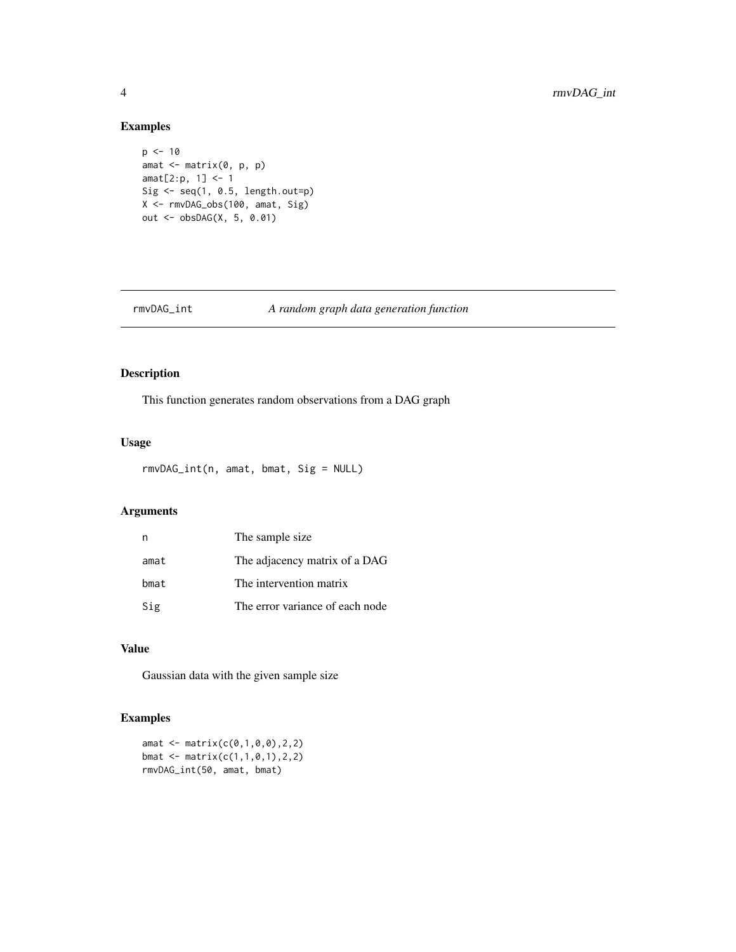## Examples

```
p \le -10amat <- matrix(0, p, p)
amat[2:p, 1] <- 1
Sig \leq seq(1, 0.5, length.out=p)
X <- rmvDAG_obs(100, amat, Sig)
out <- obsDAG(X, 5, 0.01)
```
## rmvDAG\_int *A random graph data generation function*

## Description

This function generates random observations from a DAG graph

## Usage

```
rmvDAG_int(n, amat, bmat, Sig = NULL)
```
## Arguments

| n    | The sample size                 |
|------|---------------------------------|
| amat | The adjacency matrix of a DAG   |
| bmat | The intervention matrix         |
| Sig  | The error variance of each node |

## Value

Gaussian data with the given sample size

## Examples

amat <- matrix(c(0,1,0,0),2,2) bmat <- matrix(c(1,1,0,1),2,2) rmvDAG\_int(50, amat, bmat)

<span id="page-3-0"></span>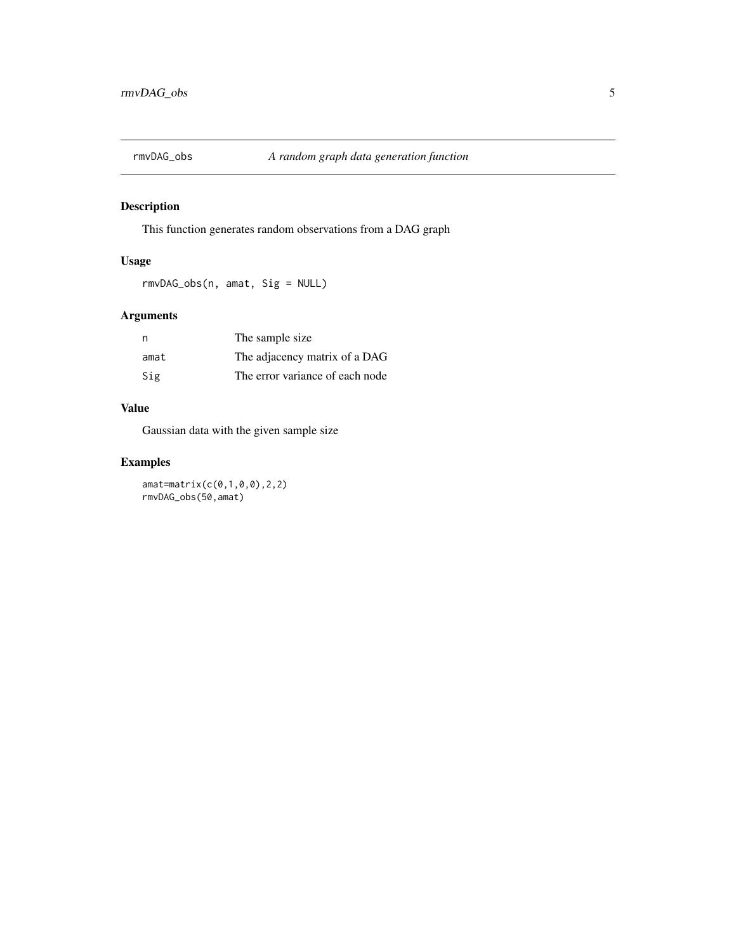<span id="page-4-0"></span>

## Description

This function generates random observations from a DAG graph

## Usage

rmvDAG\_obs(n, amat, Sig = NULL)

## Arguments

| n    | The sample size                 |
|------|---------------------------------|
| amat | The adjacency matrix of a DAG   |
| Sig  | The error variance of each node |

## Value

Gaussian data with the given sample size

## Examples

amat=matrix(c(0,1,0,0),2,2) rmvDAG\_obs(50,amat)